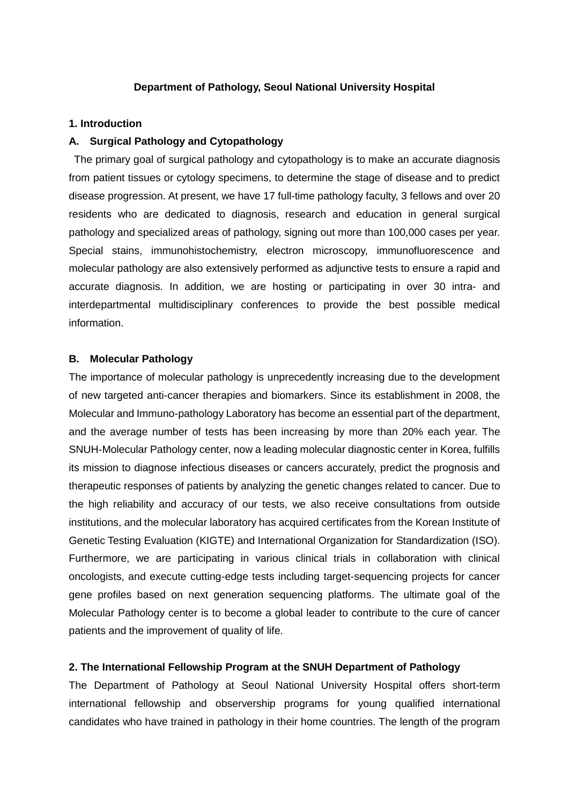### **Department of Pathology, Seoul National University Hospital**

#### **1. Introduction**

#### **A. Surgical Pathology and Cytopathology**

The primary goal of surgical pathology and cytopathology is to make an accurate diagnosis from patient tissues or cytology specimens, to determine the stage of disease and to predict disease progression. At present, we have 17 full-time pathology faculty, 3 fellows and over 20 residents who are dedicated to diagnosis, research and education in general surgical pathology and specialized areas of pathology, signing out more than 100,000 cases per year. Special stains, immunohistochemistry, electron microscopy, immunofluorescence and molecular pathology are also extensively performed as adjunctive tests to ensure a rapid and accurate diagnosis. In addition, we are hosting or participating in over 30 intra- and interdepartmental multidisciplinary conferences to provide the best possible medical information.

#### **B. Molecular Pathology**

The importance of molecular pathology is unprecedently increasing due to the development of new targeted anti-cancer therapies and biomarkers. Since its establishment in 2008, the Molecular and Immuno-pathology Laboratory has become an essential part of the department, and the average number of tests has been increasing by more than 20% each year. The SNUH-Molecular Pathology center, now a leading molecular diagnostic center in Korea, fulfills its mission to diagnose infectious diseases or cancers accurately, predict the prognosis and therapeutic responses of patients by analyzing the genetic changes related to cancer. Due to the high reliability and accuracy of our tests, we also receive consultations from outside institutions, and the molecular laboratory has acquired certificates from the Korean Institute of Genetic Testing Evaluation (KIGTE) and International Organization for Standardization (ISO). Furthermore, we are participating in various clinical trials in collaboration with clinical oncologists, and execute cutting-edge tests including target-sequencing projects for cancer gene profiles based on next generation sequencing platforms. The ultimate goal of the Molecular Pathology center is to become a global leader to contribute to the cure of cancer patients and the improvement of quality of life.

#### **2. The International Fellowship Program at the SNUH Department of Pathology**

The Department of Pathology at Seoul National University Hospital offers short-term international fellowship and observership programs for young qualified international candidates who have trained in pathology in their home countries. The length of the program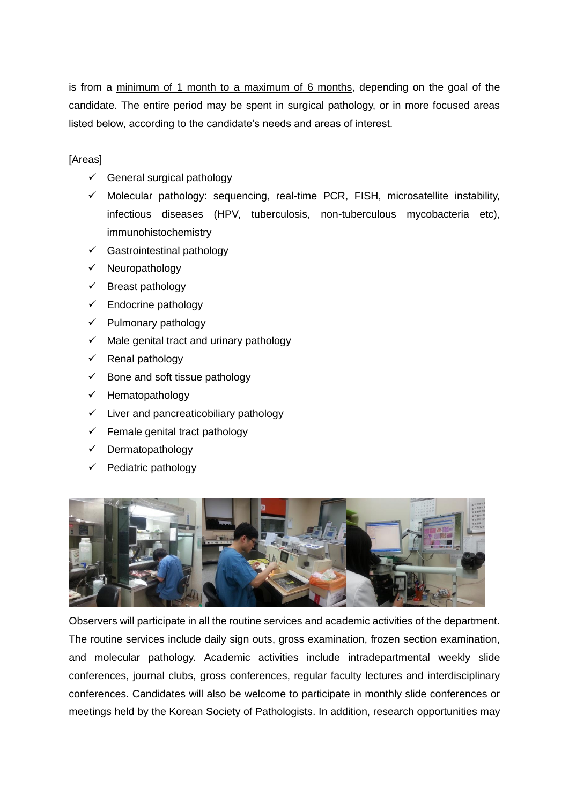is from a minimum of 1 month to a maximum of 6 months, depending on the goal of the candidate. The entire period may be spent in surgical pathology, or in more focused areas listed below, according to the candidate's needs and areas of interest.

[Areas]

- $\checkmark$  General surgical pathology
- Molecular pathology: sequencing, real-time PCR, FISH, microsatellite instability, infectious diseases (HPV, tuberculosis, non-tuberculous mycobacteria etc), immunohistochemistry
- $\checkmark$  Gastrointestinal pathology
- $\checkmark$  Neuropathology
- $\checkmark$  Breast pathology
- Endocrine pathology
- $\checkmark$  Pulmonary pathology
- $\checkmark$  Male genital tract and urinary pathology
- Renal pathology
- $\checkmark$  Bone and soft tissue pathology
- $\checkmark$  Hematopathology
- $\checkmark$  Liver and pancreaticobiliary pathology
- Female genital tract pathology
- $\checkmark$  Dermatopathology
- Pediatric pathology



Observers will participate in all the routine services and academic activities of the department. The routine services include daily sign outs, gross examination, frozen section examination, and molecular pathology. Academic activities include intradepartmental weekly slide conferences, journal clubs, gross conferences, regular faculty lectures and interdisciplinary conferences. Candidates will also be welcome to participate in monthly slide conferences or meetings held by the Korean Society of Pathologists. In addition, research opportunities may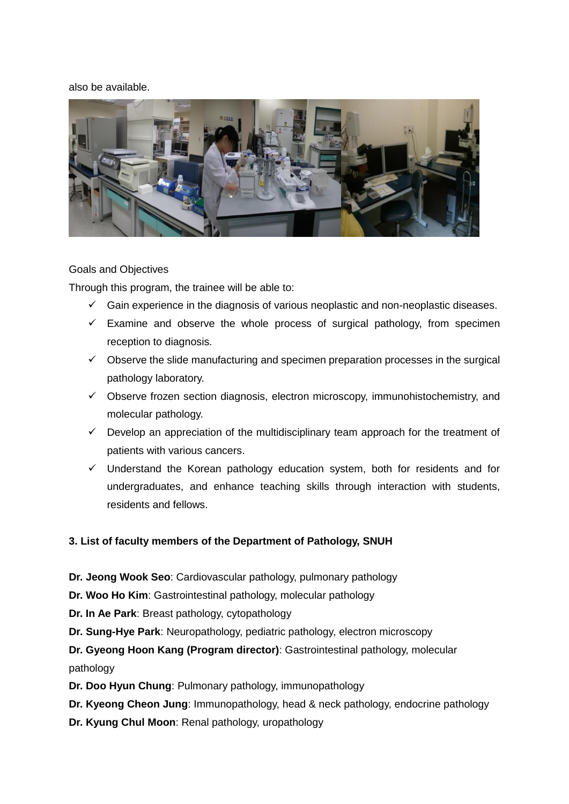#### also be available.



#### Goals and Objectives

Through this program, the trainee will be able to:

- $\checkmark$  Gain experience in the diagnosis of various neoplastic and non-neoplastic diseases.
- $\checkmark$  Examine and observe the whole process of surgical pathology, from specimen reception to diagnosis.
- $\checkmark$  Observe the slide manufacturing and specimen preparation processes in the surgical pathology laboratory.
- $\checkmark$  Observe frozen section diagnosis, electron microscopy, immunohistochemistry, and molecular pathology.
- $\checkmark$  Develop an appreciation of the multidisciplinary team approach for the treatment of patients with various cancers.
- $\checkmark$  Understand the Korean pathology education system, both for residents and for undergraduates, and enhance teaching skills through interaction with students, residents and fellows.

## **3. List of faculty members of the Department of Pathology, SNUH**

- **Dr. Jeong Wook Seo**: Cardiovascular pathology, pulmonary pathology
- **Dr. Woo Ho Kim**: Gastrointestinal pathology, molecular pathology
- **Dr. In Ae Park**: Breast pathology, cytopathology
- **Dr. Sung-Hye Park**: Neuropathology, pediatric pathology, electron microscopy

# **Dr. Gyeong Hoon Kang (Program director)**: Gastrointestinal pathology, molecular pathology

- **Dr. Doo Hyun Chung**: Pulmonary pathology, immunopathology
- **Dr. Kyeong Cheon Jung**: Immunopathology, head & neck pathology, endocrine pathology
- **Dr. Kyung Chul Moon**: Renal pathology, uropathology